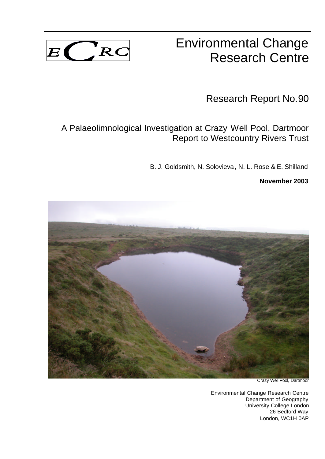

# Environmental Change Research Centre

Research Report No.90

# A Palaeolimnological Investigation at Crazy Well Pool, Dartmoor Report to Westcountry Rivers Trust

B. J. Goldsmith, N. Solovieva, N. L. Rose & E. Shilland

**November 2003**



Crazy Well Pool, Dartmoor

Environmental Change Research Centre Department of Geography University College London 26 Bedford Way London, WC1H 0AP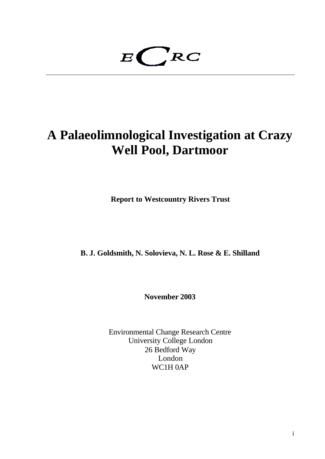$E$ <sub>RC</sub>

# **A Palaeolimnological Investigation at Crazy Well Pool, Dartmoor**

**Report to Westcountry Rivers Trust**

**B. J. Goldsmith, N. Solovieva, N. L. Rose & E. Shilland**

**November 2003**

Environmental Change Research Centre University College London 26 Bedford Way London WC1H 0AP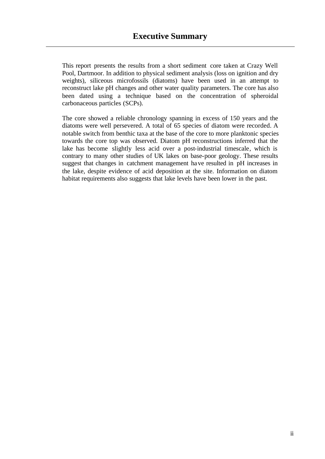This report presents the results from a short sediment core taken at Crazy Well Pool, Dartmoor. In addition to physical sediment analysis (loss on ignition and dry weights), siliceous microfossils (diatoms) have been used in an attempt to reconstruct lake pH changes and other water quality parameters. The core has also been dated using a technique based on the concentration of spheroidal carbonaceous particles (SCPs).

The core showed a reliable chronology spanning in excess of 150 years and the diatoms were well persevered. A total of 65 species of diatom were recorded. A notable switch from benthic taxa at the base of the core to more planktonic species towards the core top was observed. Diatom pH reconstructions inferred that the lake has become slightly less acid over a post-industrial timescale, which is contrary to many other studies of UK lakes on base-poor geology. These results suggest that changes in catchment management have resulted in pH increases in the lake, despite evidence of acid deposition at the site. Information on diatom habitat requirements also suggests that lake levels have been lower in the past.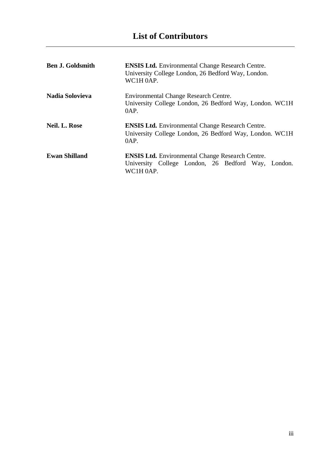| <b>Ben J. Goldsmith</b> | <b>ENSIS Ltd.</b> Environmental Change Research Centre.<br>University College London, 26 Bedford Way, London.<br>WC1H 0AP.    |
|-------------------------|-------------------------------------------------------------------------------------------------------------------------------|
| <b>Nadia Solovieva</b>  | Environmental Change Research Centre.<br>University College London, 26 Bedford Way, London. WC1H<br>0AP.                      |
| <b>Neil. L. Rose</b>    | <b>ENSIS Ltd.</b> Environmental Change Research Centre.<br>University College London, 26 Bedford Way, London. WC1H<br>0AP.    |
| <b>Ewan Shilland</b>    | <b>ENSIS Ltd.</b> Environmental Change Research Centre.<br>University College London, 26 Bedford Way,<br>London.<br>WC1H 0AP. |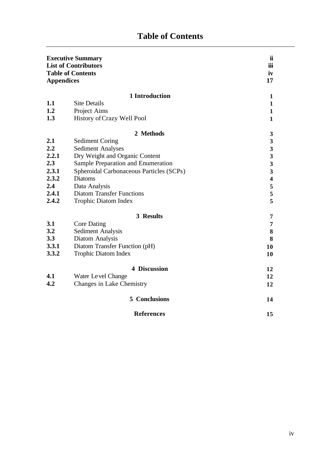# **Table of Contents**

| <b>Appendices</b> | <b>Executive Summary</b><br><b>List of Contributors</b><br><b>Table of Contents</b> | ii<br>iii<br>iv<br>17   |
|-------------------|-------------------------------------------------------------------------------------|-------------------------|
|                   | 1 Introduction                                                                      | $\mathbf{1}$            |
| 1.1               | <b>Site Details</b>                                                                 | $\mathbf{1}$            |
| 1.2               | Project Aims                                                                        | $\mathbf{1}$            |
| 1.3               | History of Crazy Well Pool                                                          | $\mathbf{1}$            |
|                   | 2 Methods                                                                           | $\mathbf{3}$            |
| 2.1               | <b>Sediment Coring</b>                                                              | $\overline{\mathbf{3}}$ |
| 2.2               | <b>Sediment Analyses</b>                                                            | $\overline{\mathbf{3}}$ |
| 2.2.1             | Dry Weight and Organic Content                                                      | $\mathbf{3}$            |
| 2.3               | Sample Preparation and Enumeration                                                  | $\mathbf{3}$            |
| 2.3.1             | Spheroidal Carbonaceous Particles (SCPs)                                            | $\mathbf{3}$            |
| 2.3.2             | <b>Diatoms</b>                                                                      | $\overline{\mathbf{4}}$ |
| 2.4               | Data Analysis                                                                       | $\mathbf 5$             |
| 2.4.1             | <b>Diatom Transfer Functions</b>                                                    | 5                       |
| 2.4.2             | <b>Trophic Diatom Index</b>                                                         | 5                       |
|                   | 3 Results                                                                           | 7                       |
| 3.1               | <b>Core Dating</b>                                                                  | 7                       |
| 3.2               | <b>Sediment Analysis</b>                                                            | ${\bf 8}$               |
| 3.3               | Diatom Analysis                                                                     | 8                       |
| 3.3.1             | Diatom Transfer Function (pH)                                                       | 10                      |
| 3.3.2             | <b>Trophic Diatom Index</b>                                                         | 10                      |
|                   | <b>4 Discussion</b>                                                                 | 12                      |
| 4.1               | Water Level Change                                                                  | 12                      |
| 4.2               | Changes in Lake Chemistry                                                           | 12                      |
|                   | <b>5</b> Conclusions                                                                | 14                      |
|                   | <b>References</b>                                                                   | 15                      |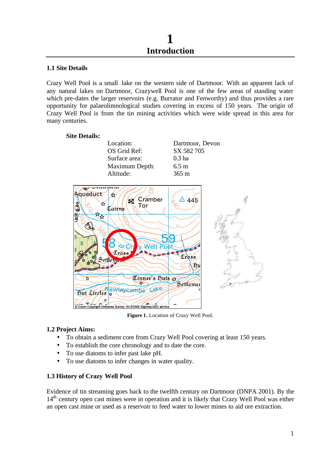#### **1.1 Site Details**

Crazy Well Pool is a small lake on the western side of Dartmoor. With an apparent lack of any natural lakes on Dartmoor, Crazywell Pool is one of the few areas of standing water which pre-dates the larger reservoirs (e.g. Burrator and Fenworthy) and thus provides a rare opportunity for palaeolimnological studies covering in excess of 150 years. The origin of Crazy Well Pool is from the tin mining activities which were wide spread in this area for many centuries.

## **Site Details:**

| Location:      | Dartmoor, Devon |
|----------------|-----------------|
| OS Grid Ref:   | SX 582 705      |
| Surface area:  | $0.3$ ha        |
| Maximum Depth: | $6.5 \text{ m}$ |
| Altitude:      | $365 \text{ m}$ |



**Figure 1.** Location of Crazy Well Pool.

#### **1.2 Project Aims:**

- To obtain a sediment core from Crazy Well Pool covering at least 150 years.
- To establish the core chronology and to date the core.
- To use diatoms to infer past lake pH.
- To use diatoms to infer changes in water quality.

#### **1.3 History of Crazy Well Pool**

Evidence of tin streaming goes back to the twelfth century on Dartmoor (DNPA 2001). By the 14<sup>th</sup> century open cast mines were in operation and it is likely that Crazy Well Pool was either an open cast mine or used as a reservoir to feed water to lower mines to aid ore extraction.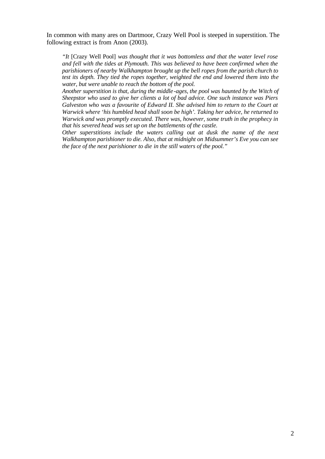In common with many ares on Dartmoor, Crazy Well Pool is steeped in superstition. The following extract is from Anon (2003).

*"It* [Crazy Well Pool] *was thought that it was bottomless and that the water level rose and fell with the tides at Plymouth. This was believed to have been confirmed when the parishioners of nearby Walkhampton brought up the bell ropes from the parish church to test its depth. They tied the ropes together, weighted the end and lowered them into the water, but were unable to reach the bottom of the pool.*

*Another superstition is that, during the middle -ages, the pool was haunted by the Witch of Sheepstor who used to give her clients a lot of bad advice. One such instance was Piers Galveston who was a favourite of Edward II. She advised him to return to the Court at Warwick where 'his humbled head shall soon be high'. Taking her advice, he returned to Warwick and was promptly executed. There was, however, some truth in the prophecy in that his severed head was set up on the battlements of the castle.*

*Other superstitions include the waters calling out at dusk the name of the next Walkhampton parishioner to die. Also, that at midnight on Midsummer's Eve you can see the face of the next parishioner to die in the still waters of the pool."*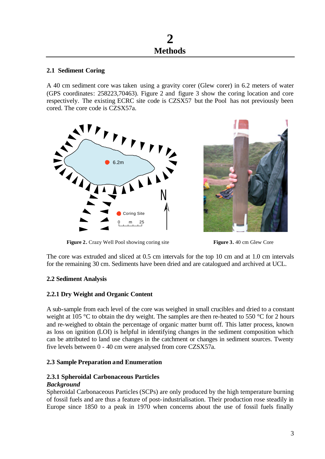#### **2.1 Sediment Coring**

A 40 cm sediment core was taken using a gravity corer (Glew corer) in 6.2 meters of water (GPS coordinates: 258223,70463). Figure 2 and figure 3 show the coring location and core respectively. The existing ECRC site code is CZSX57 but the Pool has not previously been cored. The core code is CZSX57a.





**Figure 2.** Crazy Well Pool showing coring site **Figure 3.** 40 cm Glew Core

The core was extruded and sliced at 0.5 cm intervals for the top 10 cm and at 1.0 cm intervals for the remaining 30 cm. Sediments have been dried and are catalogued and archived at UCL.

## **2.2 Sediment Analysis**

## **2.2.1 Dry Weight and Organic Content**

A sub-sample from each level of the core was weighed in small crucibles and dried to a constant weight at 105 °C to obtain the dry weight. The samples are then re-heated to 550 °C for 2 hours and re-weighed to obtain the percentage of organic matter burnt off. This latter process, known as loss on ignition (LOI) is helpful in identifying changes in the sediment composition which can be attributed to land use changes in the catchment or changes in sediment sources. Twenty five levels between 0 - 40 cm were analysed from core CZSX57a.

#### **2.3 Sample Preparation and Enumeration**

#### **2.3.1 Spheroidal Carbonaceous Particles** *Background*

Spheroidal Carbonaceous Particles (SCPs) are only produced by the high temperature burning of fossil fuels and are thus a feature of post-industrialisation. Their production rose steadily in Europe since 1850 to a peak in 1970 when concerns about the use of fossil fuels finally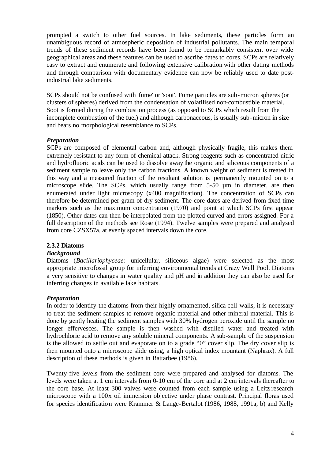prompted a switch to other fuel sources. In lake sediments, these particles form an unambiguous record of atmospheric deposition of industrial pollutants. The main temporal trends of these sediment records have been found to be remarkably consistent over wide geographical areas and these features can be used to ascribe dates to cores. SCPs are relatively easy to extract and enumerate and following extensive calibration with other dating methods and through comparison with documentary evidence can now be reliably used to date postindustrial lake sediments.

SCPs should not be confused with 'fume' or 'soot'. Fume particles are sub-micron spheres (or clusters of spheres) derived from the condensation of volatilised non-combustible material. Soot is formed during the combustion process (as opposed to SCPs which result from the incomplete combustion of the fuel) and although carbonaceous, is usually sub-micron in size and bears no morphological resemblance to SCPs.

#### *Preparation*

SCPs are composed of elemental carbon and, although physically fragile, this makes them extremely resistant to any form of chemical attack. Strong reagents such as concentrated nitric and hydrofluoric acids can be used to dissolve away the organic and siliceous components of a sediment sample to leave only the carbon fractions. A known weight of sediment is treated in this way and a measured fraction of the resultant solution is permanently mounted on to a microscope slide. The SCPs, which usually range from 5-50  $\mu$ m in diameter, are then enumerated under light microscopy (x400 magnification). The concentration of SCPs can therefore be determined per gram of dry sediment. The core dates are derived from fixed time markers such as the maximum concentration (1970) and point at which SCPs first appear (1850). Other dates can then be interpolated from the plotted curved and errors assigned. For a full description of the methods see Rose (1994). Twelve samples were prepared and analysed from core CZSX57a, at evenly spaced intervals down the core.

#### **2.3.2 Diatoms**

#### *Background*

Diatoms (*Bacillariophyceae*: unicellular, siliceous algae) were selected as the most appropriate microfossil group for inferring environmental trends at Crazy Well Pool. Diatoms a very sensitive to changes in water quality and pH and in addition they can also be used for inferring changes in available lake habitats.

#### *Preparation*

In order to identify the diatoms from their highly ornamented, silica cell-walls, it is necessary to treat the sediment samples to remove organic material and other mineral material. This is done by gently heating the sediment samples with 30% hydrogen peroxide until the sample no longer effervesces. The sample is then washed with distilled water and treated with hydrochloric acid to remove any soluble mineral components. A sub-sample of the suspension is the allowed to settle out and evaporate on to a grade "0" cover slip. The dry cover slip is then mounted onto a microscope slide using, a high optical index mountant (Naphrax). A full description of these methods is given in Battarbee (1986).

Twenty-five levels from the sediment core were prepared and analysed for diatoms. The levels were taken at 1 cm intervals from 0-10 cm of the core and at 2 cm intervals thereafter to the core base. At least 300 valves were counted from each sample using a Leitz research microscope with a 100x oil immersion objective under phase contrast. Principal floras used for species identification were Krammer & Lange-Bertalot (1986, 1988, 1991a, b) and Kelly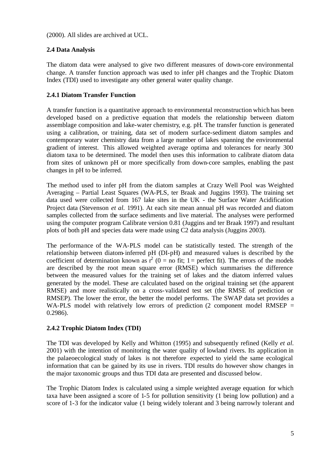(2000). All slides are archived at UCL.

## **2.4 Data Analysis**

The diatom data were analysed to give two different measures of down-core environmental change. A transfer function approach was used to infer pH changes and the Trophic Diatom Index (TDI) used to investigate any other general water quality change.

#### **2.4.1 Diatom Transfer Function**

A transfer function is a quantitative approach to environmental reconstruction which has been developed based on a predictive equation that models the relationship between diatom assemblage composition and lake-water chemistry, e.g. pH. The transfer function is generated using a calibration, or training, data set of modern surface-sediment diatom samples and contemporary water chemistry data from a large number of lakes spanning the environmental gradient of interest. This allowed weighted average optima and tolerances for nearly 300 diatom taxa to be determined. The model then uses this information to calibrate diatom data from sites of unknown pH or more specifically from down-core samples, enabling the past changes in pH to be inferred.

The method used to infer pH from the diatom samples at Crazy Well Pool was Weighted Averaging – Partial Least Squares (WA-PLS, ter Braak and Juggins 1993). The training set data used were collected from 167 lake sites in the UK - the Surface Water Acidification Project data (Stevenson *et al.* 1991). At each site mean annual pH was recorded and diatom samples collected from the surface sediments and live material. The analyses were performed using the computer program Calibrate version 0.81 (Juggins and ter Braak 1997) and resultant plots of both pH and species data were made using C2 data analysis (Juggins 2003).

The performance of the WA-PLS model can be statistically tested. The strength of the relationship between diatom-inferred pH (DI-pH) and measured values is described by the coefficient of determination known as  $r^2$  (0 = no fit; 1 = perfect fit). The errors of the models are described by the root mean square error (RMSE) which summarises the difference between the measured values for the training set of lakes and the diatom inferred values generated by the model. These are calculated based on the original training set (the apparent RMSE) and more realistically on a cross-validated test set (the RMSE of prediction or RMSEP). The lower the error, the better the model performs. The SWAP data set provides a WA-PLS model with relatively low errors of prediction  $(2 \text{ component model RMSEP} =$ 0.2986).

## **2.4.2 Trophic Diatom Index (TDI)**

The TDI was developed by Kelly and Whitton (1995) and subsequently refined (Kelly *et al.*  2001) with the intention of monitoring the water quality of lowland rivers. Its application in the palaeoecological study of lakes is not therefore expected to yield the same ecological information that can be gained by its use in rivers. TDI results do however show changes in the major taxonomic groups and thus TDI data are presented and discussed below.

The Trophic Diatom Index is calculated using a simple weighted average equation for which taxa have been assigned a score of 1-5 for pollution sensitivity (1 being low pollution) and a score of 1-3 for the indicator value (1 being widely tolerant and 3 being narrowly tolerant and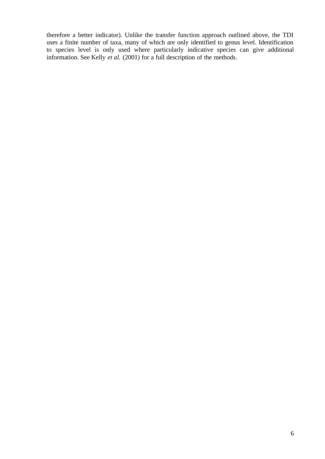therefore a better indicator). Unlike the transfer function approach outlined above, the TDI uses a finite number of taxa, many of which are only identified to genus level. Identification to species level is only used where particularly indicative species can give additional information. See Kelly *et al.* (2001) for a full description of the methods.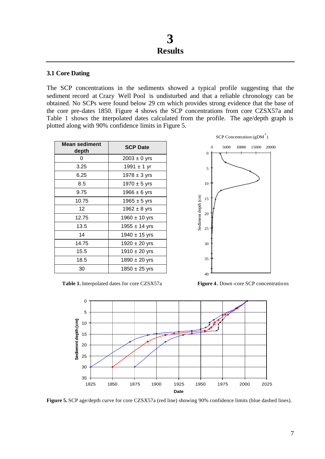#### **3.1 Core Dating**

The SCP concentrations in the sediments showed a typical profile suggesting that the sediment record at Crazy Well Pool is undisturbed and that a reliable chronology can be obtained. No SCPs were found below 29 cm which provides strong evidence that the base of the core pre-dates 1850. Figure 4 shows the SCP concentrations from core CZSX57a and Table 1 shows the interpolated dates calculated from the profile. The age/depth graph is plotted along with 90% confidence limits in Figure 5.

| <b>Mean sediment</b><br>depth | <b>SCP Date</b>   |
|-------------------------------|-------------------|
| O                             | $2003 \pm 0$ yrs  |
| 3.25                          | $1991 \pm 1$ yr   |
| 6.25                          | $1978 \pm 3$ yrs  |
| 8.5                           | $1970 \pm 5$ yrs  |
| 9.75                          | 1966 $\pm$ 6 yrs  |
| 10.75                         | 1965 $\pm$ 5 yrs  |
| 12                            | 1962 $\pm$ 8 yrs  |
| 12.75                         | $1960 \pm 10$ yrs |
| 13.5                          | $1955 \pm 14$ yrs |
| 14                            | $1940 \pm 15$ yrs |
| 14.75                         | $1920 \pm 20$ yrs |
| 15.5                          | 1910 $\pm$ 20 yrs |
| 18.5                          | 1890 $\pm$ 20 yrs |
| 30                            | $1850 \pm 25$ yrs |



Table 1. Interpolated dates for core CZSX57a **Figure 4.** Down -core SCP concentrations



**Figure 5.** SCP age/depth curve for core CZSX57a (red line) showing 90% confidence limits (blue dashed lines).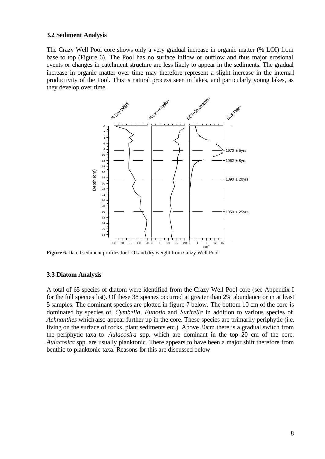#### **3.2 Sediment Analysis**

The Crazy Well Pool core shows only a very gradual increase in organic matter (% LOI) from base to top (Figure 6). The Pool has no surface inflow or outflow and thus major erosional events or changes in catchment structure are less likely to appear in the sediments. The gradual increase in organic matter over time may therefore represent a slight increase in the internal productivity of the Pool. This is natural process seen in lakes, and particularly young lakes, as they develop over time.



**Figure 6.** Dated sediment profiles for LOI and dry weight from Crazy Well Pool.

#### **3.3 Diatom Analysis**

A total of 65 species of diatom were identified from the Crazy Well Pool core (see Appendix I for the full species list). Of these 38 species occurred at greater than 2% abundance or in at least 5 samples. The dominant species are plotted in figure 7 below. The bottom 10 cm of the core is dominated by species of *Cymbella*, *Eunotia* and *Surirella* in addition to various species of *Achnanthes* which also appear further up in the core. These species are primarily periphytic (i.e. living on the surface of rocks, plant sediments etc.). Above 30cm there is a gradual switch from the periphytic taxa to *Aulacosira* spp. which are dominant in the top 20 cm of the core. *Aulacosira* spp. are usually planktonic. There appears to have been a major shift therefore from benthic to planktonic taxa. Reasons for this are discussed below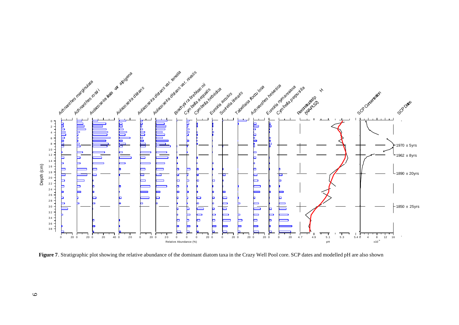

**Figure 7**. Stratigraphic plot showing the relative abundance of the dominant diatom taxa in the Crazy Well Pool core. SCP dates and modelled pH are also shown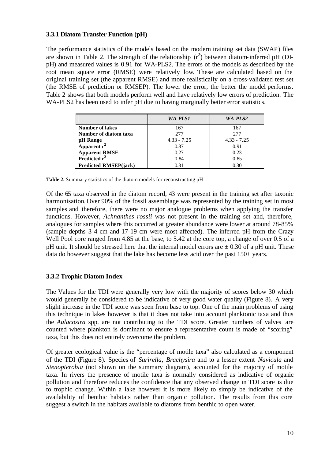#### **3.3.1 Diatom Transfer Function (pH)**

The performance statistics of the models based on the modern training set data (SWAP) files are shown in Table 2. The strength of the relationship  $(r^2)$  between diatom-inferred pH (DIpH) and measured values is 0.91 for WA-PLS2. The errors of the models as described by the root mean square error (RMSE) were relatively low. These are calculated based on the original training set (the apparent RMSE) and more realistically on a cross-validated test set (the RMSE of prediction or RMSEP). The lower the error, the better the model performs. Table 2 shows that both models perform well and have relatively low errors of prediction. The WA-PLS2 has been used to infer pH due to having marginally better error statistics.

|                                  | WA-PLS1       | WA-PLS2       |
|----------------------------------|---------------|---------------|
| <b>Number of lakes</b>           | 167           | 167           |
| Number of diatom taxa            | 2.77          | 2.77          |
| pH Range                         | $4.33 - 7.25$ | $4.33 - 7.25$ |
| Apparent $r^2$                   | 0.87          | 0.91          |
| Apparent RMSE<br>Predicted $r^2$ | 0.27          | 0.23          |
|                                  | 0.84          | 0.85          |
| <b>Predicted RMSEP(jack)</b>     | 0.31          | 0.30          |

**Table 2.** Summary statistics of the diatom models for reconstructing pH

Of the 65 taxa observed in the diatom record, 43 were present in the training set after taxonic harmonisation. Over 90% of the fossil assemblage was represented by the training set in most samples and therefore, there were no major analogue problems when applying the transfer functions. However, *Achnanthes rossii* was not present in the training set and, therefore, analogues for samples where this occurred at greater abundance were lower at around 78-85% (sample depths 3-4 cm and 17-19 cm were most affected). The inferred pH from the Crazy Well Pool core ranged from 4.85 at the base, to 5.42 at the core top, a change of over 0.5 of a pH unit. It should be stressed here that the internal model errors are  $\pm$  0.30 of a pH unit. These data do however suggest that the lake has become less acid over the past 150+ years.

#### **3.3.2 Trophic Diatom Index**

The Values for the TDI were generally very low with the majority of scores below 30 which would generally be considered to be indicative of very good water quality (Figure 8). A very slight increase in the TDI score was seen from base to top. One of the main problems of using this technique in lakes however is that it does not take into account planktonic taxa and thus the *Aulacosira* spp. are not contributing to the TDI score. Greater numbers of valves are counted where plankton is dominant to ensure a representative count is made of "scoring" taxa, but this does not entirely overcome the problem.

Of greater ecological value is the "percentage of motile taxa" also calculated as a component of the TDI (Figure 8). Species of *Surirella, Brachysira* and to a lesser extent *Navicula* and *Stenopterobia* (not shown on the summary diagram), accounted for the majority of motile taxa. In rivers the presence of motile taxa is normally considered as indicative of organic pollution and therefore reduces the confidence that any observed change in TDI score is due to trophic change. Within a lake however it is more likely to simply be indicative of the availability of benthic habitats rather than organic pollution. The results from this core suggest a switch in the habitats available to diatoms from benthic to open water.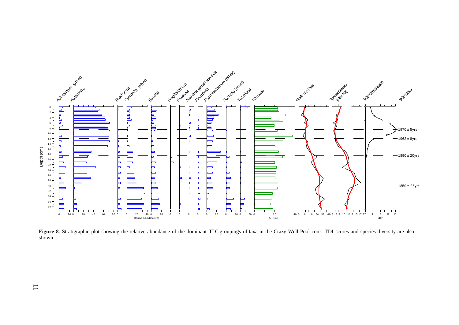

Figure 8. Stratigraphic plot showing the relative abundance of the dominant TDI groupings of taxa in the Crazy Well Pool core. TDI scores and species diversity are also shown.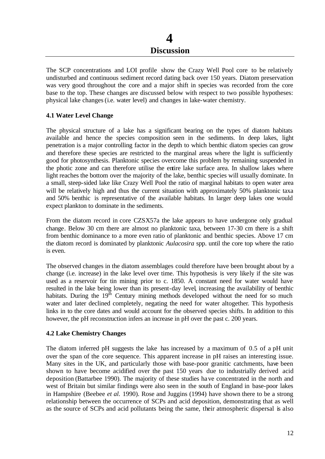The SCP concentrations and LOI profile show the Crazy Well Pool core to be relatively undisturbed and continuous sediment record dating back over 150 years. Diatom preservation was very good throughout the core and a major shift in species was recorded from the core base to the top. These changes are discussed below with respect to two possible hypotheses: physical lake changes (i.e. water level) and changes in lake-water chemistry.

#### **4.1 Water Level Change**

The physical structure of a lake has a significant bearing on the types of diatom habitats available and hence the species composition seen in the sediments. In deep lakes, light penetration is a major controlling factor in the depth to which benthic diatom species can grow and therefore these species are restricted to the marginal areas where the light is sufficiently good for photosynthesis. Planktonic species overcome this problem by remaining suspended in the photic zone and can therefore utilise the entire lake surface area. In shallow lakes where light reaches the bottom over the majority of the lake, benthic species will usually dominate. In a small, steep-sided lake like Crazy Well Pool the ratio of marginal habitats to open water area will be relatively high and thus the current situation with approximately 50% planktonic taxa and 50% benthic is representative of the available habitats. In larger deep lakes one would expect plankton to dominate in the sediments.

From the diatom record in core CZSX57a the lake appears to have undergone only gradual change. Below 30 cm there are almost no planktonic taxa, between 17-30 cm there is a shift from benthic dominance to a more even ratio of planktonic and benthic species. Above 17 cm the diatom record is dominated by planktonic *Aulacosira* spp. until the core top where the ratio is even.

The observed changes in the diatom assemblages could therefore have been brought about by a change (i.e. increase) in the lake level over time. This hypothesis is very likely if the site was used as a reservoir for tin mining prior to c. 1850. A constant need for water would have resulted in the lake being lower than its present-day level, increasing the availability of benthic habitats. During the  $19<sup>th</sup>$  Century mining methods developed without the need for so much water and later declined completely, negating the need for water altogether. This hypothesis links in to the core dates and would account for the observed species shifts. In addition to this however, the pH reconstruction infers an increase in pH over the past c. 200 years.

#### **4.2 Lake Chemistry Changes**

The diatom inferred pH suggests the lake has increased by a maximum of 0.5 of a pH unit over the span of the core sequence. This apparent increase in pH raises an interesting issue. Many sites in the UK, and particularly those with base-poor granitic catchments, have been shown to have become acidified over the past 150 years due to industrially derived acid deposition (Battarbee 1990). The majority of these studies have concentrated in the north and west of Britain but similar findings were also seen in the south of England in base-poor lakes in Hampshire (Beebee *et al.* 1990). Rose and Juggins (1994) have shown there to be a strong relationship between the occurrence of SCPs and acid deposition, demonstrating that as well as the source of SCPs and acid pollutants being the same, their atmospheric dispersal is also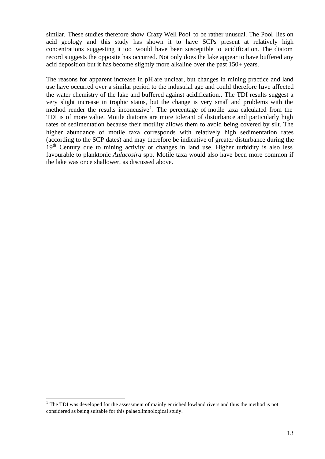similar. These studies therefore show Crazy Well Pool to be rather unusual. The Pool lies on acid geology and this study has shown it to have SCPs present at relatively high concentrations suggesting it too would have been susceptible to acidification. The diatom record suggests the opposite has occurred. Not only does the lake appear to have buffered any acid deposition but it has become slightly more alkaline over the past 150+ years.

The reasons for apparent increase in pH are unclear, but changes in mining practice and land use have occurred over a similar period to the industrial age and could therefore have affected the water chemistry of the lake and buffered against acidification.. The TDI results suggest a very slight increase in trophic status, but the change is very small and problems with the method render the results inconcusive<sup>1</sup>. The percentage of motile taxa calculated from the TDI is of more value. Motile diatoms are more tolerant of disturbance and particularly high rates of sedimentation because their motility allows them to avoid being covered by silt. The higher abundance of motile taxa corresponds with relatively high sedimentation rates (according to the SCP dates) and may therefore be indicative of greater disturbance during the  $19<sup>th</sup>$  Century due to mining activity or changes in land use. Higher turbidity is also less favourable to planktonic *Aulacosira* spp. Motile taxa would also have been more common if the lake was once shallower, as discussed above.

<sup>&</sup>lt;sup>1</sup> The TDI was developed for the assessment of mainly enriched lowland rivers and thus the method is not considered as being suitable for this palaeolimnological study.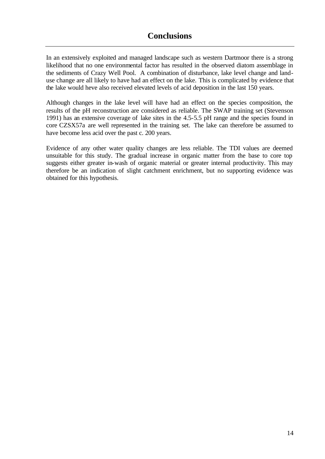In an extensively exploited and managed landscape such as western Dartmoor there is a strong likelihood that no one environmental factor has resulted in the observed diatom assemblage in the sediments of Crazy Well Pool. A combination of disturbance, lake level change and landuse change are all likely to have had an effect on the lake. This is complicated by evidence that the lake would heve also received elevated levels of acid deposition in the last 150 years.

Although changes in the lake level will have had an effect on the species composition, the results of the pH reconstruction are considered as reliable. The SWAP training set (Stevenson 1991) has an extensive coverage of lake sites in the 4.5-5.5 pH range and the species found in core CZSX57a are well represented in the training set. The lake can therefore be assumed to have become less acid over the past c. 200 years.

Evidence of any other water quality changes are less reliable. The TDI values are deemed unsuitable for this study. The gradual increase in organic matter from the base to core top suggests either greater in-wash of organic material or greater internal productivity. This may therefore be an indication of slight catchment enrichment, but no supporting evidence was obtained for this hypothesis.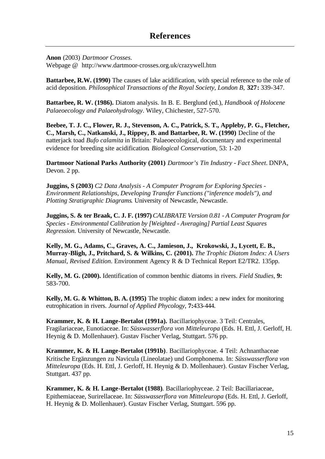**Anon** (2003) *Dartmoor Crosses*.

Webpage @ http://www.dartmoor-crosses.org.uk/crazywell.htm

**Battarbee, R.W. (1990)** The causes of lake acidification, with special reference to the role of acid deposition. *Philosophical Transactions of the Royal Society, London B,* **327:** 339-347.

**Battarbee, R. W. (1986).** Diatom analysis. In B. E. Berglund (ed.), *Handbook of Holocene Palaeoecology and Palaeohydrology*. Wiley, Chichester, 527-570.

**Beebee, T. J. C., Flower, R. J., Stevenson, A. C., Patrick, S. T., Appleby, P. G., Fletcher, C., Marsh, C., Natkanski, J., Rippey, B. and Battarbee, R. W. (1990)** Decline of the natterjack toad *Bufo calamita* in Britain: Palaeoecological, documentary and experimental evidence for breeding site acidification. *Biological Conservation,* 53: 1-20

**Dartmoor National Parks Authority (2001)** *Dartmoor's Tin Industry - Fact Sheet.* DNPA, Devon. 2 pp.

**Juggins, S (2003)** *C2 Data Analysis - A Computer Program for Exploring Species - Environment Relationships, Developing Transfer Functions ("inference models"), and Plotting Stratigraphic Diagrams.* University of Newcastle, Newcastle.

**Juggins, S. & ter Braak, C. J. F. (1997)** *CALIBRATE Version 0.81 - A Computer Program for Species - Environmental Calibration by [Weighted - Averaging] Partial Least Squares Regression*. University of Newcastle, Newcastle.

**Kelly, M. G., Adams, C., Graves, A. C., Jamieson, J., Krokowski, J., Lycett, E. B., Murray-Bligh, J., Pritchard, S. & Wilkins, C. (2001).** *The Trophic Diatom Index: A Users Manual, Revised Edition*. Environment Agency R & D Technical Report E2/TR2. 135pp.

**Kelly, M. G. (2000).** Identification of common benthic diatoms in rivers. *Field Studies,* **9:** 583-700.

**Kelly, M. G. & Whitton, B. A. (1995)** The trophic diatom index: a new index for monitoring eutrophication in rivers. *Journal of Applied Phycology*, **7:**433-444.

**Krammer, K. & H. Lange-Bertalot (1991a).** Bacillariophyceae. 3 Teil: Centrales, Fragilariaceae, Eunotiaceae. In: *Süsswasserflora von Mitteleuropa* (Eds. H. Ettl, J. Gerloff, H. Heynig & D. Mollenhauer). Gustav Fischer Verlag, Stuttgart. 576 pp.

**Krammer, K. & H. Lange-Bertalot (1991b)**. Bacillariophyceae. 4 Teil: Achnanthaceae Kritische Ergänzungen zu Navicula (Lineolatae) und Gomphonema. In: *Süsswasserflora von Mitteleuropa* (Eds. H. Ettl, J. Gerloff, H. Heynig & D. Mollenhauer). Gustav Fischer Verlag, Stuttgart. 437 pp.

**Krammer, K. & H. Lange-Bertalot (1988)**. Bacillariophyceae. 2 Teil: Bacillariaceae, Epithemiaceae, Surirellaceae. In: *Süsswasserflora von Mitteleuropa* (Eds. H. Ettl, J. Gerloff, H. Heynig & D. Mollenhauer). Gustav Fischer Verlag, Stuttgart. 596 pp.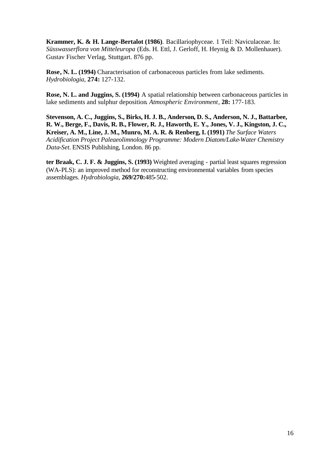**Krammer, K. & H. Lange-Bertalot (1986)**. Bacillariophyceae. 1 Teil: Naviculaceae. In: *Süsswasserflora von Mitteleuropa* (Eds. H. Ettl, J. Gerloff, H. Heynig & D. Mollenhauer). Gustav Fischer Verlag, Stuttgart. 876 pp.

**Rose, N. L. (1994)** Characterisation of carbonaceous particles from lake sediments. *Hydrobiologia*, **274:** 127-132.

**Rose, N. L. and Juggins, S. (1994)** A spatial relationship between carbonaceous particles in lake sediments and sulphur deposition. *Atmospheric Environment*, **28:** 177-183.

**Stevenson, A. C., Juggins, S., Birks, H. J. B., Anderson, D. S., Anderson, N. J., Battarbee, R. W., Berge, F., Davis, R. B., Flower, R. J., Haworth, E. Y., Jones, V. J., Kingston, J. C., Kreiser, A. M., Line, J. M., Munro, M. A. R. & Renberg, I. (1991)** *The Surface Waters Acidification Project Paleaeolimnology Programme: Modern Diatom/Lake-Water Chemistry Data-Set.* ENSIS Publishing, London. 86 pp.

**ter Braak, C. J. F. & Juggins, S. (1993)** Weighted averaging - partial least squares regression (WA-PLS): an improved method for reconstructing environmental variables from species assemblages. *Hydrobiologia*, **269/270:**485-502.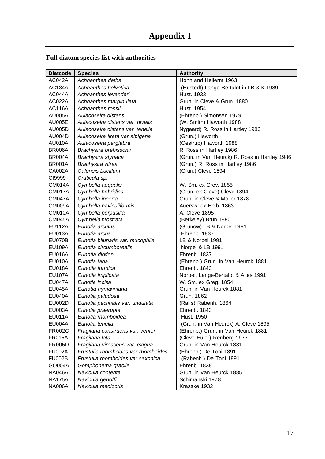## **Full diatom species list with authorities**

| <b>Diatcode</b> | <b>Species</b>                      | <b>Authority</b>                              |
|-----------------|-------------------------------------|-----------------------------------------------|
| AC042A          | Achnanthes detha                    | Hohn and Hellerm 1963                         |
| <b>AC134A</b>   | Achnanthes helvetica                | (Hustedt) Lange-Bertalot in LB & K 1989       |
| AC044A          | Achnanthes levanderi                | Hust. 1933                                    |
| AC022A          | Achnanthes marginulata              | Grun, in Cleve & Grun, 1880                   |
| <b>AC116A</b>   | Achnanthes rossii                   | Hust. 1954                                    |
| <b>AU005A</b>   | Aulacoseira distans                 | (Ehrenb.) Simonsen 1979                       |
| <b>AU005E</b>   | Aulacoseira distans var nivalis     | (W. Smith) Haworth 1988                       |
| AU005D          | Aulacoseira distans var tenella     | Nygaard) R. Ross in Hartley 1986              |
| <b>AU004D</b>   | Aulacoseira lirata var alpigena     | (Grun.) Haworth                               |
| <b>AU010A</b>   | Aulacoseira perglabra               | (Oestrup) Haworth 1988                        |
| BR006A          | Brachysira brebissonii              | R. Ross in Hartley 1986                       |
| BR004A          | Brachysira styriaca                 | (Grun. in Van Heurck) R. Ross in Hartley 1986 |
| <b>BR001A</b>   | Brachysira vitrea                   | (Grun.) R. Ross in Hartley 1986               |
| CA002A          | Caloneis bacillum                   | (Grun.) Cleve 1894                            |
| CI9999          | Craticula sp.                       |                                               |
| CM014A          | Cymbella aequalis                   | W. Sm. ex Grev. 1855                          |
| CM017A          | Cymbella hebridica                  | (Grun. ex Cleve) Cleve 1894                   |
| CM047A          | Cymbella incerta                    | Grun, in Cleve & Moller 1878                  |
| CM009A          | Cymbella naviculiformis             | Auersw. ex Heib. 1863                         |
| CM010A          | Cymbella perpusilla                 | A. Cleve 1895                                 |
| <b>CM045A</b>   | Cymbella prostrata                  | (Berkeley) Brun 1880                          |
| <b>EU112A</b>   | Eunotia arculus                     | (Grunow) LB & Norpel 1991                     |
| <b>EU013A</b>   | Eunotia arcus                       | Ehrenb. 1837                                  |
| EU070B          | Eunotia bilunaris var. mucophila    | LB & Norpel 1991                              |
| <b>EU109A</b>   | Eunotia circumborealis              | Norpel & LB 1991                              |
| EU016A          | Eunotia diodon                      | Ehrenb. 1837                                  |
| <b>EU010A</b>   | Eunotia faba                        | (Ehrenb.) Grun. in Van Heurck 1881            |
| EU018A          | Eunotia formica                     | Ehrenb. 1843                                  |
| <b>EU107A</b>   | Eunotia implicata                   | Norpel, Lange-Bertalot & Alles 1991           |
| <b>EU047A</b>   | Eunotia incisa                      | W. Sm. ex Greg. 1854                          |
| <b>EU045A</b>   | Eunotia nymanniana                  | Grun. in Van Heurck 1881                      |
| <b>EU040A</b>   | Eunotia paludosa                    | Grun. 1862                                    |
| EU002D          | Eunotia pectinalis var. undulata    | (Ralfs) Rabenh. 1864                          |
| EU003A          | Eunotia praerupta                   | Ehrenb. 1843                                  |
| EU011A          | Eunotia rhomboidea                  | Hust. 1950                                    |
| <b>EU004A</b>   | Eunotia tenella                     | (Grun. in Van Heurck) A. Cleve 1895           |
| <b>FR002C</b>   | Fragilaria construens var. venter   | (Ehrenb.) Grun. in Van Heurck 1881            |
| <b>FR015A</b>   | Fragilaria lata                     | (Cleve-Euler) Renberg 1977                    |
| <b>FR005D</b>   | Fragilaria virescens var. exigua    | Grun. in Van Heurck 1881                      |
| <b>FU002A</b>   | Frustulia rhomboides var rhomboides | (Ehrenb.) De Toni 1891                        |
| <b>FU002B</b>   | Frustulia rhomboides var saxonica   | (Rabenh.) De Toni 1891                        |
| GO004A          | Gomphonema gracile                  | Ehrenb. 1838                                  |
| <b>NA046A</b>   | Navicula contenta                   | Grun. in Van Heurck 1885                      |
| <b>NA175A</b>   | Navicula gerloffi                   | Schimanski 1978                               |
| <b>NA006A</b>   | Navicula mediocris                  | Krasske 1932                                  |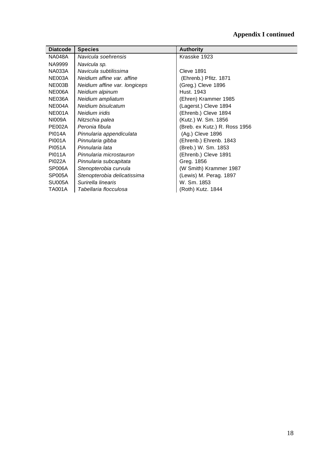# **Appendix I continued**

| <b>Diatcode</b> | <b>Species</b>                | <b>Authority</b>              |
|-----------------|-------------------------------|-------------------------------|
|                 |                               |                               |
| <b>NA048A</b>   | Navicula soehrensis           | Krasske 1923                  |
| NA9999          | Navicula sp.                  |                               |
| <b>NA033A</b>   | Navicula subtilissima         | Cleve 1891                    |
| NE003A          | Neidium affine var. affine    | (Ehrenb.) Pfitz. 1871         |
| NE003B          | Neidium affine var. longiceps | (Greg.) Cleve 1896            |
| <b>NE006A</b>   | Neidium alpinum               | Hust. 1943                    |
| NE036A          | Neidium ampliatum             | (Ehren) Krammer 1985          |
| NE004A          | Neidium bisulcatum            | (Lagerst.) Cleve 1894         |
| NE001A          | Neidium iridis                | (Ehrenb.) Cleve 1894          |
| <b>NI009A</b>   | Nitzschia palea               | (Kutz.) W. Sm. 1856           |
| <b>PE002A</b>   | Peronia fibula                | (Breb. ex Kutz.) R. Ross 1956 |
| <b>PI014A</b>   | Pinnularia appendiculata      | (Ag.) Cleve 1896              |
| <b>PI001A</b>   | Pinnularia gibba              | (Ehrenb.) Ehrenb. 1843        |
| <b>PI051A</b>   | Pinnularia lata               | (Breb.) W. Sm. 1853           |
| <b>PI011A</b>   | Pinnularia microstauron       | (Ehrenb.) Cleve 1891          |
| PI022A          | Pinnularia subcapitata        | Greg. 1856                    |
| SP006A          | Stenopterobia curvula         | (W Smith) Krammer 1987        |
| <b>SP005A</b>   | Stenopterobia delicatissima   | (Lewis) M. Perag. 1897        |
| SU005A          | Surirella linearis            | W. Sm. 1853                   |
| <b>TA001A</b>   | Tabellaria flocculosa         | (Roth) Kutz. 1844             |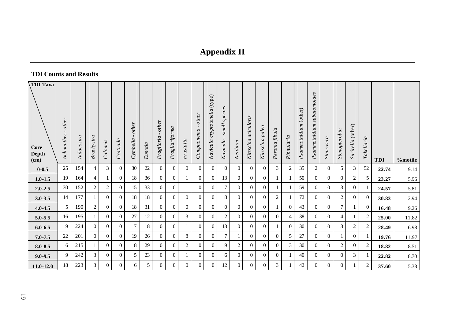# **Appendix II**

## **TDI Counts and Results**

| TDI Taxa<br><b>Core</b><br>Depth<br>(cm) | Achnanthes - other | Aulacosira | Brachysira     | Caloneis       | Craticula      | other<br>Cymbella | Eunotia | $other$<br>Fragilaria | Fragilariforma | Frustulia      | Gomphonema - other | cryptotenella (type)<br>Navicula | small species<br>$\mathbf{L}$<br>Navicula | Neidium        | Nitzschia acicularis | Nitzschia palea | Peronia fibula | Pinnularia     | Psammothidium (other) | subatomoides<br>Psammothidium | Staurosira       | Stenopterobia  | Surirella (other) | Tabellaria     | <b>TDI</b> | %motile |
|------------------------------------------|--------------------|------------|----------------|----------------|----------------|-------------------|---------|-----------------------|----------------|----------------|--------------------|----------------------------------|-------------------------------------------|----------------|----------------------|-----------------|----------------|----------------|-----------------------|-------------------------------|------------------|----------------|-------------------|----------------|------------|---------|
| $0 - 0.5$                                | 25                 | 154        | $\overline{4}$ | $\mathfrak{Z}$ | $\overline{0}$ | 30                | 22      | $\mathbf{0}$          | $\overline{0}$ | $\theta$       | $\theta$           | $\overline{0}$                   | $\boldsymbol{0}$                          | $\overline{0}$ | $\overline{0}$       | $\Omega$        | 3              | $\overline{c}$ | 35                    | $\overline{c}$                | $\Omega$         | 5              | 3                 | 52             | 22.74      | 9.14    |
| $1.0 - 1.5$                              | 19                 | 164        | $\overline{4}$ |                | $\overline{0}$ | 18                | 36      | $\overline{0}$        | $\overline{0}$ |                | $\overline{0}$     | $\overline{0}$                   | 13                                        | $\overline{0}$ | $\overline{0}$       | $\overline{0}$  |                |                | 50                    | $\overline{0}$                | $\mathbf{0}$     | $\overline{0}$ | $\overline{c}$    | 5              | 23.27      | 5.96    |
| $2.0 - 2.5$                              | 30                 | 152        | $\overline{2}$ | $\overline{2}$ | $\overline{0}$ | 15                | 33      | $\overline{0}$        | $\overline{0}$ |                | $\Omega$           | $\theta$                         | 7                                         | $\overline{0}$ | $\overline{0}$       | $\Omega$        |                |                | 59                    | $\overline{0}$                | $\Omega$         | 3              | $\overline{0}$    |                | 24.57      | 5.81    |
| $3.0 - 3.5$                              | 14                 | 177        |                | $\overline{0}$ | $\overline{0}$ | 18                | 18      | $\overline{0}$        | $\overline{0}$ | $\overline{0}$ | $\overline{0}$     | $\overline{0}$                   | 8                                         | $\overline{0}$ | $\overline{0}$       | $\overline{0}$  | 2              |                | 72                    | $\overline{0}$                | $\overline{0}$   | 2              | $\overline{0}$    | $\overline{0}$ | 30.83      | 2.94    |
| $4.0 - 4.5$                              | 5                  | 190        | 2              | $\overline{0}$ | $\overline{0}$ | 18                | 31      | $\overline{0}$        | $\overline{0}$ | $\overline{0}$ | $\overline{0}$     | $\overline{0}$                   | $\overline{0}$                            | $\overline{0}$ | $\overline{0}$       | $\overline{0}$  |                | $\theta$       | 43                    | $\overline{0}$                | $\boldsymbol{0}$ | $\tau$         | 1                 | $\overline{0}$ | 16.48      | 9.26    |
| $5.0 - 5.5$                              | 16                 | 195        |                | $\overline{0}$ | $\overline{0}$ | 27                | 12      | $\overline{0}$        | $\overline{0}$ | 3              | $\overline{0}$     | $\overline{0}$                   | 2                                         | $\overline{0}$ | $\overline{0}$       | $\overline{0}$  | $\overline{0}$ | 4              | 38                    | $\overline{0}$                | $\mathbf{0}$     | 4              |                   | 2              | 25.00      | 11.82   |
| $6.0 - 6.5$                              | 9                  | 224        | $\Omega$       | $\overline{0}$ | $\overline{0}$ | $\tau$            | 18      | $\overline{0}$        | $\overline{0}$ |                | $\Omega$           | $\overline{0}$                   | 13                                        | $\overline{0}$ | $\Omega$             | $\Omega$        |                | $\theta$       | 30                    | $\Omega$                      | $\overline{0}$   | 3 <sup>1</sup> | $\sqrt{2}$        | 2              | 28.49      | 6.98    |
| $7.0 - 7.5$                              | $22\,$             | 201        | $\Omega$       | $\overline{0}$ | $\overline{0}$ | 19                | 26      | $\overline{0}$        | $\overline{0}$ | 8              | $\overline{0}$     | $\overline{0}$                   | $\tau$                                    |                | $\Omega$             | $\Omega$        | $\overline{0}$ | 5              | 27                    | $\Omega$                      | $\overline{0}$   |                | $\overline{0}$    |                | 19.76      | 11.97   |
| $8.0 - 8.5$                              | 6                  | 215        |                | $\overline{0}$ | $\overline{0}$ | 8                 | 29      | $\overline{0}$        | $\overline{0}$ | $\overline{2}$ | $\overline{0}$     | $\overline{0}$                   | 9                                         | $\overline{2}$ | $\Omega$             | $\overline{0}$  | $\Omega$       | 3              | 30                    | $\overline{0}$                | $\overline{0}$   | $\overline{2}$ | $\overline{0}$    | $\overline{c}$ | 18.82      | 8.51    |
| $9.0 - 9.5$                              | 9                  | 242        | 3              | $\overline{0}$ | $\overline{0}$ | 5                 | 23      | $\overline{0}$        | $\overline{0}$ |                | $\theta$           | $\overline{0}$                   | 6                                         | $\overline{0}$ | $\Omega$             | $\Omega$        | $\overline{0}$ |                | 40                    | $\overline{0}$                | $\overline{0}$   | $\overline{0}$ | 3                 |                | 22.82      | 8.70    |
| $11.0 - 12.0$                            | 18                 | 223        | 3 <sup>7</sup> | $\overline{0}$ | $\overline{0}$ | 6                 | 5       | $\overline{0}$        | $\overline{0}$ | $\overline{0}$ | $\overline{0}$     | $\overline{0}$                   | 12                                        | $\overline{0}$ | $\overline{0}$       | $\overline{0}$  | 3              |                | 42                    | $\overline{0}$                | $\mathbf{0}$     | $\overline{0}$ |                   | $\overline{c}$ | 37.60      | 5.38    |